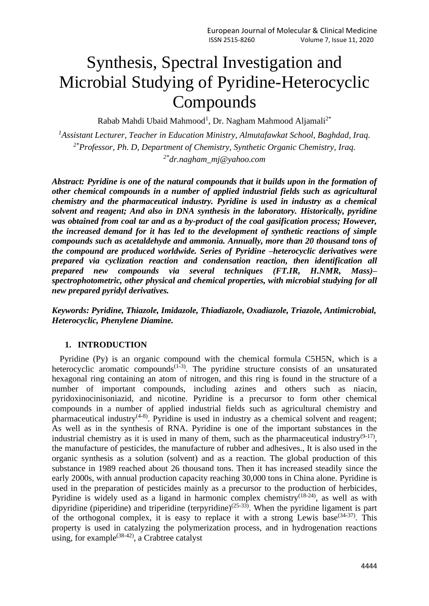# Synthesis, Spectral Investigation and Microbial Studying of Pyridine-Heterocyclic Compounds

Rabab Mahdi Ubaid Mahmood<sup>1</sup>, Dr. Nagham Mahmood Aljamali<sup>2\*</sup>

*<sup>1</sup>Assistant Lecturer, Teacher in Education Ministry, Almutafawkat School, Baghdad, Iraq. 2\*Professor, Ph. D, Department of Chemistry, Synthetic Organic Chemistry, Iraq. 2\*[dr.nagham\\_mj@yahoo.com](mailto:dr.nagham_mj@yahoo.com)*

*Abstract: Pyridine is one of the natural compounds that it builds upon in the formation of other chemical compounds in a number of applied industrial fields such as agricultural chemistry and the pharmaceutical industry. Pyridine is used in industry as a chemical solvent and reagent; And also in DNA synthesis in the laboratory. Historically, pyridine was obtained from coal tar and as a by-product of the coal gasification process; However, the increased demand for it has led to the development of synthetic reactions of simple compounds such as acetaldehyde and ammonia. Annually, more than 20 thousand tons of the compound are produced worldwide. Series of Pyridine –heterocyclic derivatives were prepared via cyclization reaction and condensation reaction, then identification all prepared new compounds via several techniques (FT.IR, H.NMR, Mass)– spectrophotometric, other physical and chemical properties, with microbial studying for all new prepared pyridyl derivatives.*

*Keywords: Pyridine, Thiazole, Imidazole, Thiadiazole, Oxadiazole, Triazole, Antimicrobial, Heterocyclic, Phenylene Diamine.*

## **1. INTRODUCTION**

Pyridine (Py) is an organic compound with the chemical formula C5H5N, which is a heterocyclic aromatic compounds<sup> $(1-3)$ </sup>. The pyridine structure consists of an unsaturated hexagonal ring containing an atom of nitrogen, and this ring is found in the structure of a number of important compounds, including azines and others such as niacin, pyridoxinocinisoniazid, and nicotine. Pyridine is a precursor to form other chemical compounds in a number of applied industrial fields such as agricultural chemistry and pharmaceutical industry<sup> $(4-8)$ </sup>. Pyridine is used in industry as a chemical solvent and reagent; As well as in the synthesis of RNA. Pyridine is one of the important substances in the industrial chemistry as it is used in many of them, such as the pharmaceutical industry<sup>(9-17)</sup>, the manufacture of pesticides, the manufacture of rubber and adhesives., It is also used in the organic synthesis as a solution (solvent) and as a reaction. The global production of this substance in 1989 reached about 26 thousand tons. Then it has increased steadily since the early 2000s, with annual production capacity reaching 30,000 tons in China alone. Pyridine is used in the preparation of pesticides mainly as a precursor to the production of herbicides, Pyridine is widely used as a ligand in harmonic complex chemistry<sup>(18-24)</sup>, as well as with dipyridine (piperidine) and triperidine (terpyridine)<sup>(25-33)</sup>. When the pyridine ligament is part of the orthogonal complex, it is easy to replace it with a strong Lewis base  $(34-37)$ . This property is used in catalyzing the polymerization process, and in hydrogenation reactions using, for example<sup> $(38-42)$ </sup>, a Crabtree catalyst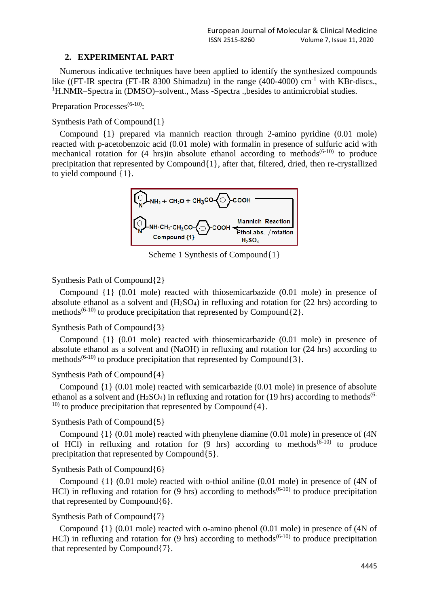### **2. EXPERIMENTAL PART**

Numerous indicative techniques have been applied to identify the synthesized compounds like ((FT-IR spectra (FT-IR 8300 Shimadzu) in the range (400-4000) cm<sup>-1</sup> with KBr-discs., <sup>1</sup>H.NMR–Spectra in (DMSO)–solvent., Mass -Spectra .,besides to antimicrobial studies.

Preparation Processes<sup>(6-10)</sup>:

### Synthesis Path of Compound{1}

Compound {1} prepared via mannich reaction through 2-amino pyridine (0.01 mole) reacted with p-acetobenzoic acid (0.01 mole) with formalin in presence of sulfuric acid with mechanical rotation for  $(4 \text{ hrs})$ in absolute ethanol according to methods<sup> $(6-10)$ </sup> to produce precipitation that represented by Compound{1}, after that, filtered, dried, then re-crystallized to yield compound {1}.



Scheme 1 Synthesis of Compound{1}

### Synthesis Path of Compound{2}

Compound {1} (0.01 mole) reacted with thiosemicarbazide (0.01 mole) in presence of absolute ethanol as a solvent and  $(H<sub>2</sub>SO<sub>4</sub>)$  in refluxing and rotation for (22 hrs) according to methods<sup>(6-10)</sup> to produce precipitation that represented by Compound $\{2\}$ .

## Synthesis Path of Compound{3}

Compound {1} (0.01 mole) reacted with thiosemicarbazide (0.01 mole) in presence of absolute ethanol as a solvent and (NaOH) in refluxing and rotation for (24 hrs) according to methods<sup>(6-10)</sup> to produce precipitation that represented by Compound $\{3\}$ .

## Synthesis Path of Compound{4}

Compound {1} (0.01 mole) reacted with semicarbazide (0.01 mole) in presence of absolute ethanol as a solvent and  $(H_2SO_4)$  in refluxing and rotation for (19 hrs) according to methods<sup>(6-</sup> <sup>10)</sup> to produce precipitation that represented by Compound $\{4\}$ .

#### Synthesis Path of Compound{5}

Compound {1} (0.01 mole) reacted with phenylene diamine (0.01 mole) in presence of (4N of HCl) in refluxing and rotation for  $(9 \text{ hrs})$  according to methods<sup> $(6-10)$ </sup> to produce precipitation that represented by Compound{5}.

## Synthesis Path of Compound{6}

Compound {1} (0.01 mole) reacted with o-thiol aniline (0.01 mole) in presence of (4N of HCl) in refluxing and rotation for  $(9 \text{ hrs})$  according to methods<sup> $(6-10)$ </sup> to produce precipitation that represented by Compound{6}.

## Synthesis Path of Compound{7}

Compound {1} (0.01 mole) reacted with o-amino phenol (0.01 mole) in presence of (4N of HCl) in refluxing and rotation for  $(9 \text{ hrs})$  according to methods<sup> $(6-10)$ </sup> to produce precipitation that represented by Compound{7}.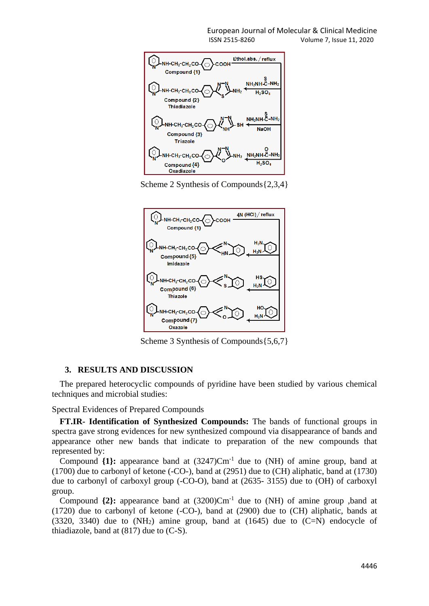

Scheme 2 Synthesis of Compounds{2,3,4}



Scheme 3 Synthesis of Compounds{5,6,7}

#### **3. RESULTS AND DISCUSSION**

The prepared heterocyclic compounds of pyridine have been studied by various chemical techniques and microbial studies:

Spectral Evidences of Prepared Compounds

**FT.IR- Identification of Synthesized Compounds:** The bands of functional groups in spectra gave strong evidences for new synthesized compound via disappearance of bands and appearance other new bands that indicate to preparation of the new compounds that represented by:

Compound  $\{1\}$ : appearance band at  $(3247)$ Cm<sup>-1</sup> due to (NH) of amine group, band at (1700) due to carbonyl of ketone (-CO-), band at (2951) due to (CH) aliphatic, band at (1730) due to carbonyl of carboxyl group (-CO-O), band at (2635- 3155) due to (OH) of carboxyl group.

Compound  $\{2\}$ : appearance band at  $(3200)$ Cm<sup>-1</sup> due to (NH) of amine group ,band at (1720) due to carbonyl of ketone (-CO-), band at (2900) due to (CH) aliphatic, bands at  $(3320, 3340)$  due to  $(NH<sub>2</sub>)$  amine group, band at  $(1645)$  due to  $(C=N)$  endocycle of thiadiazole, band at  $(817)$  due to  $(C-S)$ .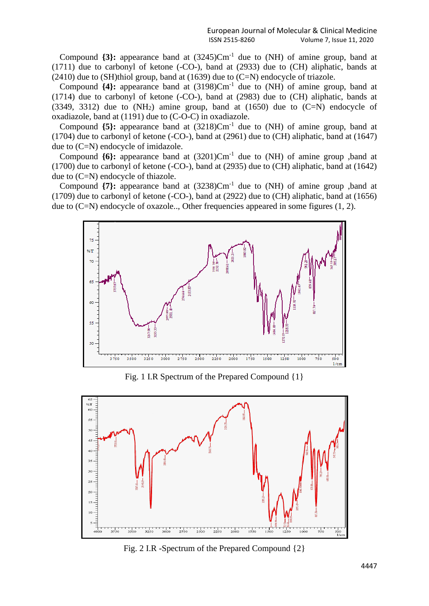Compound  $\{3\}$ : appearance band at  $(3245)$ Cm<sup>-1</sup> due to (NH) of amine group, band at (1711) due to carbonyl of ketone (-CO-), band at (2933) due to (CH) aliphatic, bands at  $(2410)$  due to  $(SH)$ thiol group, band at  $(1639)$  due to  $(C=N)$  endocycle of triazole.

Compound  $\{4\}$ : appearance band at  $(3198)$ Cm<sup>-1</sup> due to (NH) of amine group, band at (1714) due to carbonyl of ketone (-CO-), band at (2983) due to (CH) aliphatic, bands at  $(3349, 3312)$  due to  $(NH<sub>2</sub>)$  amine group, band at  $(1650)$  due to  $(C=N)$  endocycle of oxadiazole, band at (1191) due to (C-O-C) in oxadiazole.

Compound  $\{5\}$ : appearance band at  $(3218)$ Cm<sup>-1</sup> due to (NH) of amine group, band at (1704) due to carbonyl of ketone (-CO-), band at (2961) due to (CH) aliphatic, band at (1647) due to (C=N) endocycle of imidazole.

Compound  $\{6\}$ : appearance band at  $(3201)$ Cm<sup>-1</sup> due to (NH) of amine group ,band at (1700) due to carbonyl of ketone (-CO-), band at (2935) due to (CH) aliphatic, band at (1642) due to (C=N) endocycle of thiazole.

Compound  $\{7\}$ : appearance band at  $(3238)$ Cm<sup>-1</sup> due to (NH) of amine group ,band at (1709) due to carbonyl of ketone (-CO-), band at (2922) due to (CH) aliphatic, band at (1656) due to (C=N) endocycle of oxazole.., Other frequencies appeared in some figures (1, 2).



Fig. 1 I.R Spectrum of the Prepared Compound {1}



Fig. 2 I.R -Spectrum of the Prepared Compound {2}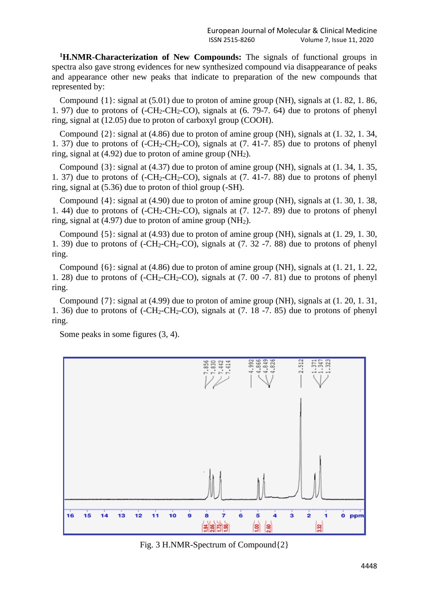**<sup>1</sup>H.NMR-Characterization of New Compounds:** The signals of functional groups in spectra also gave strong evidences for new synthesized compound via disappearance of peaks and appearance other new peaks that indicate to preparation of the new compounds that represented by:

Compound {1}: signal at (5.01) due to proton of amine group (NH), signals at (1. 82, 1. 86, 1. 97) due to protons of  $(-CH_2-CH_2-CO)$ , signals at  $(6. 79-7. 64)$  due to protons of phenyl ring, signal at (12.05) due to proton of carboxyl group (COOH).

Compound {2}: signal at (4.86) due to proton of amine group (NH), signals at (1. 32, 1. 34, 1. 37) due to protons of  $(-CH_2-CH_2-CO)$ , signals at  $(7, 41-7, 85)$  due to protons of phenyl ring, signal at (4.92) due to proton of amine group (NH2).

Compound {3}: signal at (4.37) due to proton of amine group (NH), signals at (1. 34, 1. 35, 1. 37) due to protons of  $(-CH_2-CH_2-CO)$ , signals at  $(7, 41-7, 88)$  due to protons of phenyl ring, signal at (5.36) due to proton of thiol group (-SH).

Compound {4}: signal at (4.90) due to proton of amine group (NH), signals at (1. 30, 1. 38, 1. 44) due to protons of  $(-CH_2-CH_2-CO)$ , signals at  $(7. 12-7. 89)$  due to protons of phenyl ring, signal at (4.97) due to proton of amine group (NH2).

Compound {5}: signal at (4.93) due to proton of amine group (NH), signals at (1. 29, 1. 30, 1. 39) due to protons of  $(-CH_2-CH_2-CO)$ , signals at  $(7. 32 -7. 88)$  due to protons of phenyl ring.

Compound {6}: signal at (4.86) due to proton of amine group (NH), signals at (1. 21, 1. 22, 1. 28) due to protons of  $(-CH_2-CH_2-CO)$ , signals at  $(7. 00 -7. 81)$  due to protons of phenyl ring.

Compound {7}: signal at (4.99) due to proton of amine group (NH), signals at (1. 20, 1. 31, 1. 36) due to protons of  $(-CH_2-CH_2-CO)$ , signals at  $(7. 18 -7. 85)$  due to protons of phenyl ring.

Some peaks in some figures (3, 4).



Fig. 3 H.NMR-Spectrum of Compound{2}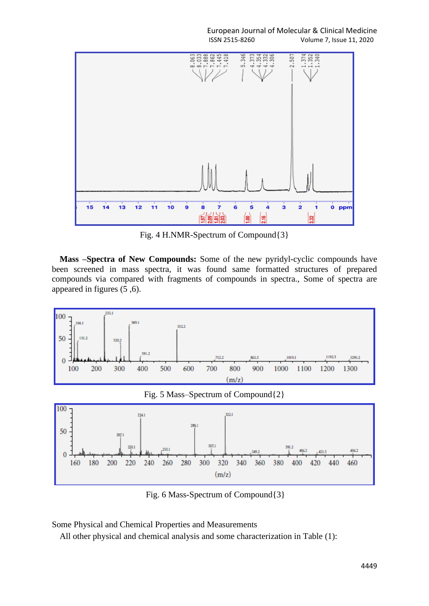

Fig. 4 H.NMR-Spectrum of Compound{3}

**Mass –Spectra of New Compounds:** Some of the new pyridyl-cyclic compounds have been screened in mass spectra, it was found same formatted structures of prepared compounds via compared with fragments of compounds in spectra., Some of spectra are appeared in figures (5 ,6).



Fig. 5 Mass–Spectrum of Compound{2}



Fig. 6 Mass-Spectrum of Compound{3}

Some Physical and Chemical Properties and Measurements

All other physical and chemical analysis and some characterization in Table (1):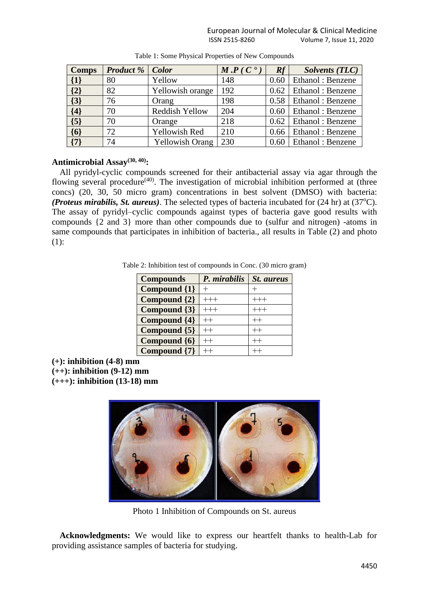| Comps   | <b>Product</b> % | Color                  | $M.P (C^{\bullet})$ | Rf   | <b>Solvents (TLC)</b>      |
|---------|------------------|------------------------|---------------------|------|----------------------------|
| $\{1\}$ | 80               | Yellow                 | 148                 |      | $0.60$   Ethanol: Benzene  |
| $\{2\}$ | 82               | Yellowish orange       | 192                 |      | $0.62$   Ethanol : Benzene |
| $\{3\}$ | 76               | Orang                  | 198                 | 0.58 | Ethanol: Benzene           |
| $\{4\}$ | 70               | Reddish Yellow         | 204                 |      | $0.60$   Ethanol : Benzene |
| $\{5\}$ | 70               | Orange                 | 218                 |      | $0.62$   Ethanol : Benzene |
| $\{6\}$ | 72               | Yellowish Red          | 210                 | 0.66 | Ethanol: Benzene           |
| $\{7\}$ | 74               | <b>Yellowish Orang</b> | 230                 |      | 0.60   Ethanol: Benzene    |

Table 1: Some Physical Properties of New Compounds

## **Antimicrobial Assay(30, 40) :**

All pyridyl-cyclic compounds screened for their antibacterial assay via agar through the flowing several procedure<sup>(40)</sup>. The investigation of microbial inhibition performed at (three concs) (20, 30, 50 micro gram) concentrations in best solvent (DMSO) with bacteria: *(Proteus mirabilis, St. aureus)*. The selected types of bacteria incubated for (24 hr) at (37<sup>o</sup>C). The assay of pyridyl–cyclic compounds against types of bacteria gave good results with compounds {2 and 3} more than other compounds due to (sulfur and nitrogen) -atoms in same compounds that participates in inhibition of bacteria., all results in Table (2) and photo (1):

Table 2: Inhibition test of compounds in Conc. (30 micro gram)

| <b>Compounds</b> | P. mirabilis | St. aureus  |
|------------------|--------------|-------------|
| Compound {1}     |              |             |
| Compound {2}     |              |             |
| Compound {3}     |              |             |
| Compound {4}     |              | $^{++}$     |
| Compound {5}     |              | $^{\rm ++}$ |
| Compound {6}     |              |             |
| Compound {7}     |              |             |

**(+): inhibition (4-8) mm (++): inhibition (9-12) mm (+++): inhibition (13-18) mm**



Photo 1 Inhibition of Compounds on St. aureus

**Acknowledgments:** We would like to express our heartfelt thanks to health-Lab for providing assistance samples of bacteria for studying.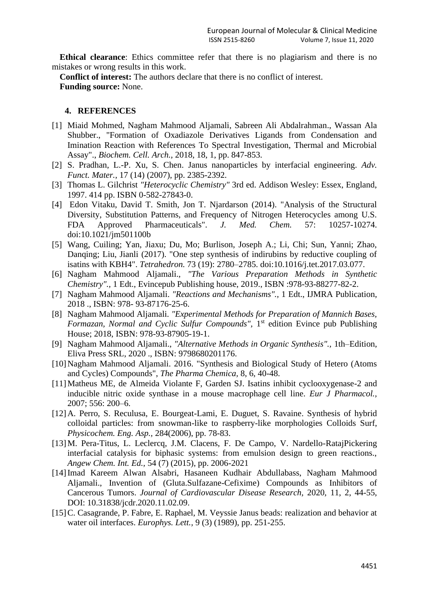**Ethical clearance**: Ethics committee refer that there is no plagiarism and there is no mistakes or wrong results in this work.

**Conflict of interest:** The authors declare that there is no conflict of interest. **Funding source:** None.

#### **4. REFERENCES**

- [1] Miaid Mohmed, Nagham Mahmood Aljamali, Sabreen Ali Abdalrahman., Wassan Ala Shubber., "Formation of Oxadiazole Derivatives Ligands from Condensation and Imination Reaction with References To Spectral Investigation, Thermal and Microbial Assay"., *Biochem. Cell. Arch.,* 2018, 18, 1, pp. 847-853.
- [2] S. Pradhan, L.-P. Xu, S. Chen. Janus nanoparticles by interfacial engineering. *Adv. Funct. Mater.,* 17 (14) (2007), pp. 2385-2392.
- [3] Thomas L. Gilchrist *"Heterocyclic Chemistry"* 3rd ed. Addison Wesley: Essex, England, 1997. 414 pp. [ISBN](https://en.wikipedia.org/wiki/ISBN_(identifier)) [0-582-27843-0.](https://en.wikipedia.org/wiki/Special:BookSources/0-582-27843-0)
- [4] Edon Vitaku, David T. Smith, Jon T. Njardarson (2014). "Analysis of the Structural Diversity, Substitution Patterns, and Frequency of Nitrogen Heterocycles among U.S. FDA Approved Pharmaceuticals". *J. Med. Chem.* 57: 10257-10274. [doi](https://en.wikipedia.org/wiki/Doi_(identifier))[:10.1021/jm501100b](https://doi.org/10.1021%2Fjm501100b)
- [5] Wang, Cuiling; Yan, Jiaxu; Du, Mo; Burlison, Joseph A.; Li, Chi; Sun, Yanni; Zhao, Danqing; Liu, Jianli (2017). "One step synthesis of indirubins by reductive coupling of isatins with KBH4". *Tetrahedron.* 73 (19): 2780–2785. [doi:](https://en.wikipedia.org/wiki/Doi_(identifier))[10.1016/j.tet.2017.03.077.](https://doi.org/10.1016%2Fj.tet.2017.03.077)
- [6] Nagham Mahmood Aljamali., *"The Various Preparation Methods in Synthetic Chemistry".,* 1 Edt., Evincepub Publishing house, 2019., ISBN :978-93-88277-82-2.
- [7] Nagham Mahmood Aljamali. *"Reactions and Mechanisms".,* 1 Edt., IJMRA Publication, 2018 ., ISBN: 978- 93-87176-25-6.
- [8] Nagham Mahmood Aljamali. *"Experimental Methods for Preparation of Mannich Bases,* Formazan, Normal and Cyclic Sulfur Compounds", 1<sup>st</sup> edition Evince pub Publishing House; 2018, ISBN: 978-93-87905-19-1.
- [9] Nagham Mahmood Aljamali., *"Alternative Methods in Organic Synthesis".,* 1th–Edition, Eliva Press SRL, 2020 ., ISBN: 9798680201176.
- [10] Nagham Mahmood Aljamali. 2016. "Synthesis and Biological Study of Hetero (Atoms and Cycles) Compounds", *The Pharma Chemica,* 8, 6, 40-48.
- [11] Matheus ME, de Almeida Violante F, Garden SJ. Isatins inhibit cyclooxygenase-2 and inducible nitric oxide synthase in a mouse macrophage cell line. *Eur J Pharmacol.,* 2007; 556: 200–6.
- [12]A. Perro, S. Reculusa, E. Bourgeat-Lami, E. Duguet, S. Ravaine. Synthesis of hybrid colloidal particles: from snowman-like to raspberry-like morphologies Colloids Surf, *Physicochem. Eng. Asp.,* 284(2006), pp. 78-83.
- [13]M. Pera-Titus, L. Leclercq, J.M. Clacens, F. De Campo, V. Nardello-RatajPickering interfacial catalysis for biphasic systems: from emulsion design to green reactions., *Angew Chem. Int. Ed.,* 54 (7) (2015), pp. 2006-2021
- [14]Imad Kareem Alwan Alsabri, Hasaneen Kudhair Abdullabass, Nagham Mahmood Aljamali., Invention of (Gluta.Sulfazane-Cefixime) Compounds as Inhibitors of Cancerous Tumors. *Journal of Cardiovascular Disease Research,* 2020, 11, 2, 44-55, DOI: 10.31838/jcdr.2020.11.02.09.
- [15] C. Casagrande, P. Fabre, E. Raphael, M. Veyssie Janus beads: realization and behavior at water oil interfaces. *Europhys. Lett.,* 9 (3) (1989), pp. 251-255.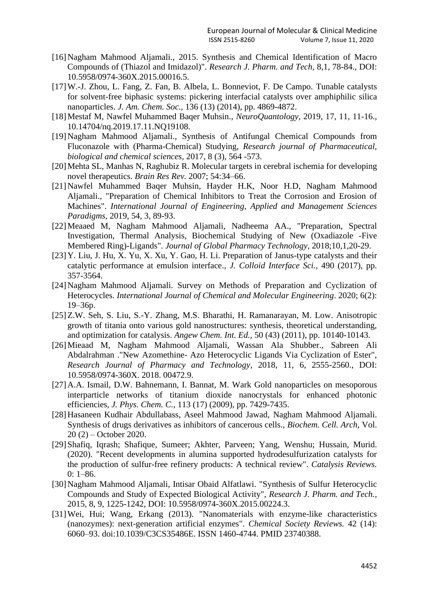- [16]Nagham Mahmood Aljamali., 2015. Synthesis and Chemical Identification of Macro Compounds of (Thiazol and Imidazol)". *Research J. Pharm. and Tech,* 8,1, 78-84., DOI: 10.5958/0974-360X.2015.00016.5.
- [17]W.-J. Zhou, L. Fang, Z. Fan, B. Albela, L. Bonneviot, F. De Campo. Tunable catalysts for solvent-free biphasic systems: pickering interfacial catalysts over amphiphilic silica nanoparticles. *J. Am. Chem. Soc.,* 136 (13) (2014), pp. 4869-4872.
- [18]Mestaf M, Nawfel Muhammed Baqer Muhsin., *NeuroQuantology,* 2019, 17, 11, 11-16., 10.14704/nq.2019.17.11.NQ19108.
- [19]Nagham Mahmood Aljamali., Synthesis of Antifungal Chemical Compounds from Fluconazole with (Pharma-Chemical) Studying, *Research journal of Pharmaceutical, biological and chemical sciences,* 2017, 8 (3), 564 -573.
- [20]Mehta SL, Manhas N, Raghubiz R. Molecular targets in cerebral ischemia for developing novel therapeutics. *Brain Res Rev.* 2007; 54:34–66.
- [21]Nawfel Muhammed Baqer Muhsin, Hayder H.K, Noor H.D, Nagham Mahmood Aljamali., "Preparation of Chemical Inhibitors to Treat the Corrosion and Erosion of Machines". *International Journal of Engineering, Applied and Management Sciences Paradigms,* 2019, 54, 3, 89-93.
- [22]Meaaed M, Nagham Mahmood Aljamali, Nadheema AA., "Preparation, Spectral Investigation, Thermal Analysis, Biochemical Studying of New (Oxadiazole -Five Membered Ring)-Ligands". *Journal of Global Pharmacy Technology,* 2018;10,1,20-29.
- [23] Y. Liu, J. Hu, X. Yu, X. Xu, Y. Gao, H. Li. Preparation of Janus-type catalysts and their catalytic performance at emulsion interface., *J. Colloid Interface Sci.,* 490 (2017), pp. 357-3564.
- [24]Nagham Mahmood Aljamali. Survey on Methods of Preparation and Cyclization of Heterocycles. *International Journal of Chemical and Molecular Engineering*. 2020; 6(2): 19–36p.
- [25]Z.W. Seh, S. Liu, S.-Y. Zhang, M.S. Bharathi, H. Ramanarayan, M. Low. Anisotropic growth of titania onto various gold nanostructures: synthesis, theoretical understanding, and optimization for catalysis. *Angew Chem. Int. Ed.,* 50 (43) (2011), pp. 10140-10143.
- [26]Mieaad M, Nagham Mahmood Aljamali, Wassan Ala Shubber., Sabreen Ali Abdalrahman ."New Azomethine- Azo Heterocyclic Ligands Via Cyclization of Ester", *Research Journal of Pharmacy and Technology,* 2018, 11, 6, 2555-2560., DOI: [10.5958/0974-360X. 2018. 00472.9.](http://dx.doi.org/10.5958/0974-360X.2018.00472.9)
- [27]A.A. Ismail, D.W. Bahnemann, I. Bannat, M. Wark Gold nanoparticles on mesoporous interparticle networks of titanium dioxide nanocrystals for enhanced photonic efficiencies, *J. Phys. Chem. C.,* 113 (17) (2009), pp. 7429-7435.
- [28]Hasaneen Kudhair Abdullabass, Aseel Mahmood Jawad, Nagham Mahmood Aljamali. Synthesis of drugs derivatives as inhibitors of cancerous cells., *Biochem. Cell. Arch,* Vol. 20 (2) – October 2020.
- [29]Shafiq, Iqrash; Shafique, Sumeer; Akhter, Parveen; Yang, Wenshu; Hussain, Murid. (2020). ["Recent developments in alumina supported hydrodesulfurization catalysts for](https://doi.org/10.1080%2F01614940.2020.1780824)  [the production of sulfur-free refinery products: A technical review".](https://doi.org/10.1080%2F01614940.2020.1780824) *Catalysis Reviews.*  $0: 1–86.$
- [30]Nagham Mahmood Aljamali, Intisar Obaid Alfatlawi. "Synthesis of Sulfur Heterocyclic Compounds and Study of Expected Biological Activity", *Research J. Pharm. and Tech.,* 2015, 8, 9, 1225-1242, DOI: 10.5958/0974-360X.2015.00224.3.
- [31]Wei, Hui; Wang, Erkang (2013). "Nanomaterials with enzyme-like characteristics (nanozymes): next-generation artificial enzymes". *Chemical Society Reviews.* 42 (14): 6060–93. [doi](https://en.wikipedia.org/wiki/Doi_(identifier))[:10.1039/C3CS35486E.](https://doi.org/10.1039%2FC3CS35486E) [ISSN](https://en.wikipedia.org/wiki/ISSN_(identifier)) [1460-4744.](https://www.worldcat.org/issn/1460-4744) [PMID](https://en.wikipedia.org/wiki/PMID_(identifier)) [23740388.](https://pubmed.ncbi.nlm.nih.gov/23740388)